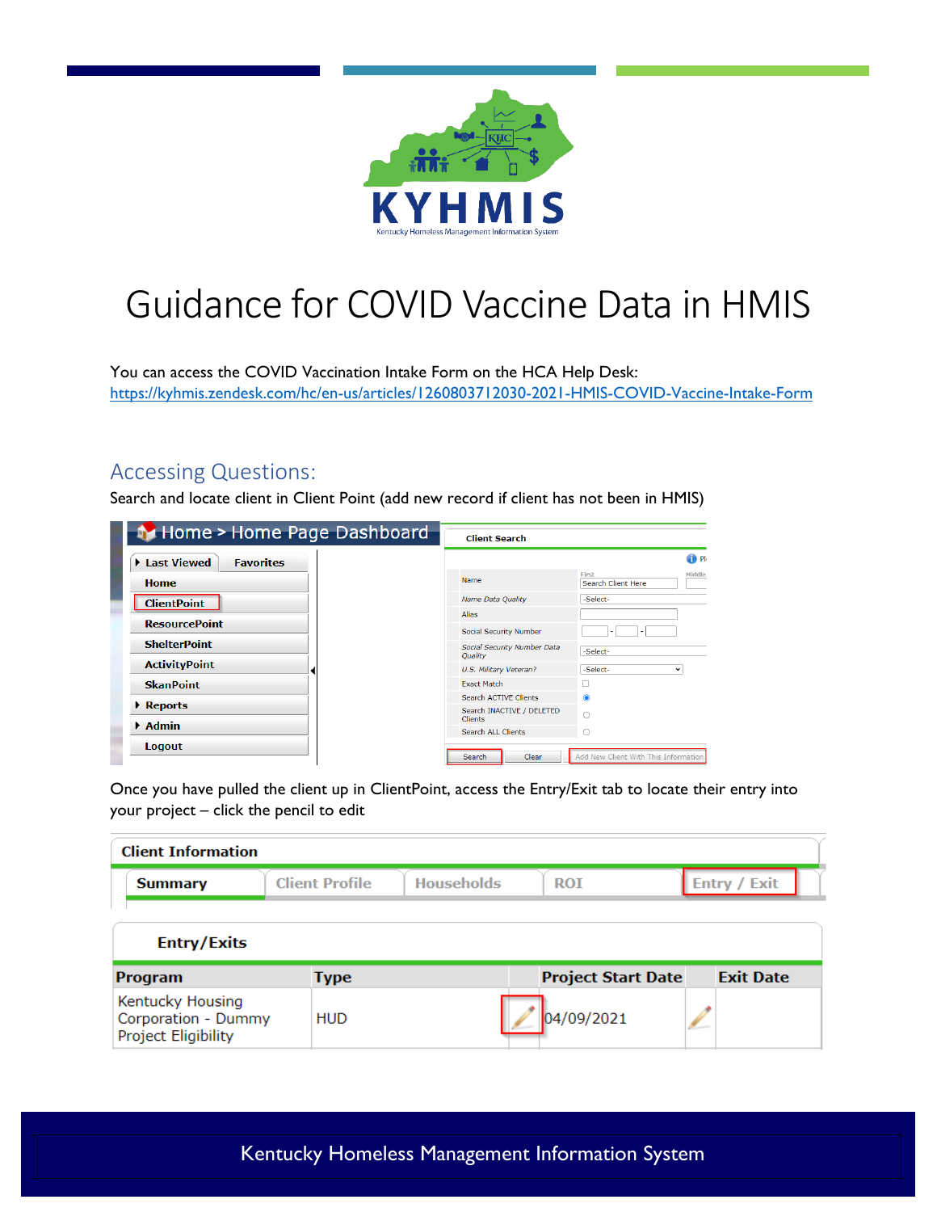

## Guidance for COVID Vaccine Data in HMIS

You can access the COVID Vaccination Intake Form on the HCA Help Desk: <https://kyhmis.zendesk.com/hc/en-us/articles/1260803712030-2021-HMIS-COVID-Vaccine-Intake-Form>

## Accessing Questions:

Search and locate client in Client Point (add new record if client has not been in HMIS)

| <b>N</b> Home > Home Page Dashboard | <b>Client Search</b>                        |                                              |
|-------------------------------------|---------------------------------------------|----------------------------------------------|
| Last Viewed<br><b>Favorites</b>     |                                             | <sup>O</sup> Ph                              |
| <b>Home</b>                         | Name                                        | Middle<br>First<br><b>Search Client Here</b> |
| <b>ClientPoint</b>                  | Name Data Quality                           | -Select-                                     |
|                                     | Alias                                       |                                              |
| <b>ResourcePoint</b>                | <b>Social Security Number</b>               |                                              |
| <b>ShelterPoint</b>                 | Social Security Number Data<br>Quality      | -Select-                                     |
| <b>ActivityPoint</b>                | U.S. Military Veteran?                      | -Select-<br>v                                |
| <b>SkanPoint</b>                    | <b>Exact Match</b>                          |                                              |
|                                     | <b>Search ACTIVE Clients</b>                | $\bullet$                                    |
| $\triangleright$ Reports            | Search INACTIVE / DELETED<br><b>Clients</b> |                                              |
| $\blacktriangleright$ Admin         | <b>Search ALL Clients</b>                   |                                              |
| Logout                              | Clear<br>Search                             | Add New Client With This Information         |

Once you have pulled the client up in ClientPoint, access the Entry/Exit tab to locate their entry into your project – click the pencil to edit

| <b>Client Information</b>                                      |                       |                   |                           |                     |
|----------------------------------------------------------------|-----------------------|-------------------|---------------------------|---------------------|
| <b>Summary</b>                                                 | <b>Client Profile</b> | <b>Households</b> | <b>ROI</b>                | <b>Entry / Exit</b> |
| <b>Entry/Exits</b>                                             |                       |                   |                           |                     |
| Program                                                        | <b>Type</b>           |                   | <b>Project Start Date</b> | <b>Exit Date</b>    |
| Kentucky Housing<br>Corporation - Dummy<br>Project Eligibility | <b>HUD</b>            |                   | 04/09/2021                |                     |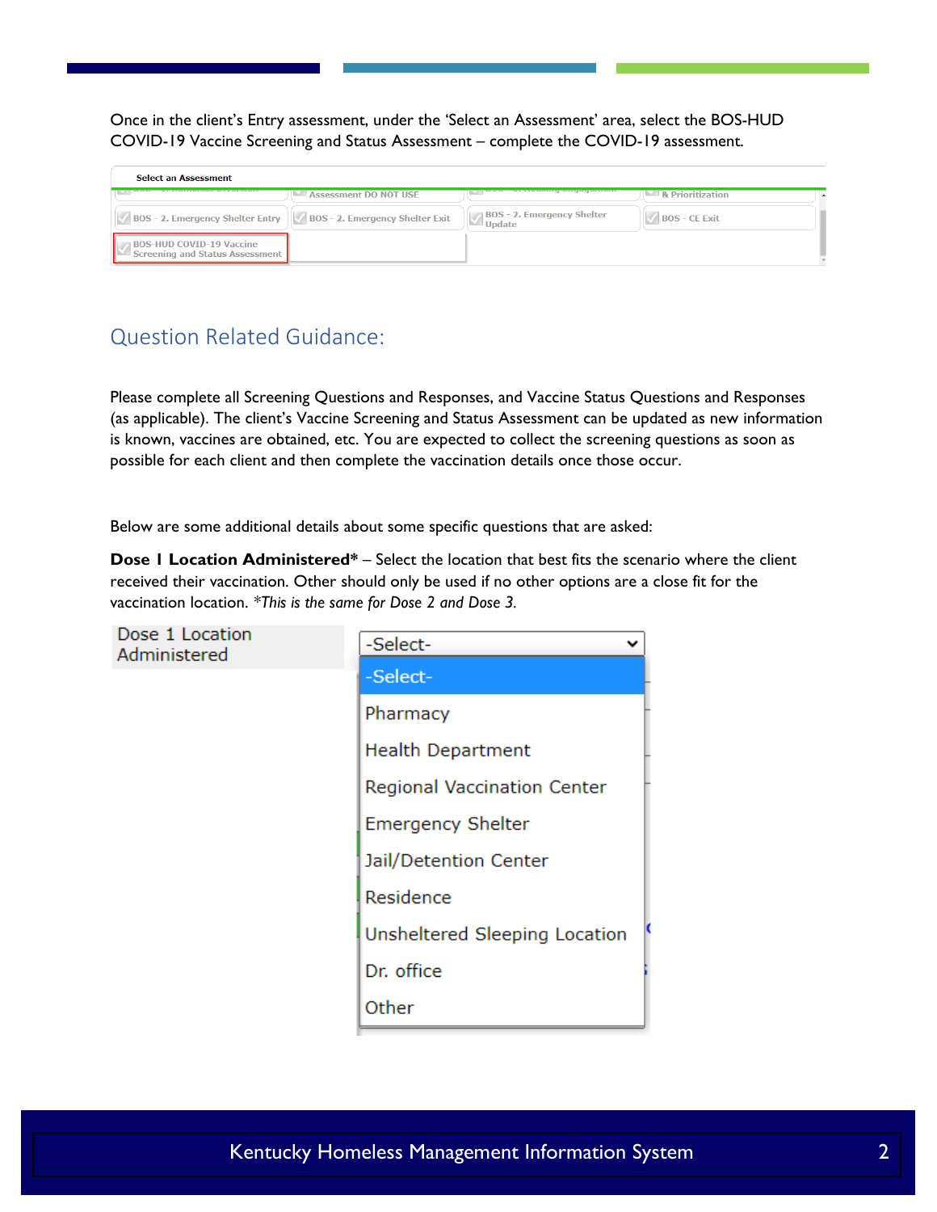Once in the client's Entry assessment, under the 'Select an Assessment' area, select the BOS-HUD COVID-19 Vaccine Screening and Status Assessment – complete the COVID-19 assessment.

| <b>Select an Assessment</b>                                               |                                 |                                                                                                                                                                                                                                      |                      |  |
|---------------------------------------------------------------------------|---------------------------------|--------------------------------------------------------------------------------------------------------------------------------------------------------------------------------------------------------------------------------------|----------------------|--|
| ALL EXPERIENCES MADE BY EXPLORER                                          | <b>Assessment DO NOT USE</b>    | <u>of the active current of the state of the state of the state of the state of the state of the state of the state of the state of the state of the state of the state of the state of the state of the state of the state of t</u> | & Prioritization     |  |
| <b>BOS - 2. Emergency Shelter Entry</b>                                   | BOS - 2. Emergency Shelter Exit | <b>BOS - 2. Emergency Shelter</b><br>Update                                                                                                                                                                                          | <b>BOS - CE Exit</b> |  |
| <b>BOS-HUD COVID-19 Vaccine</b><br><b>Screening and Status Assessment</b> |                                 |                                                                                                                                                                                                                                      |                      |  |

## Question Related Guidance:

Please complete all Screening Questions and Responses, and Vaccine Status Questions and Responses (as applicable). The client's Vaccine Screening and Status Assessment can be updated as new information is known, vaccines are obtained, etc. You are expected to collect the screening questions as soon as possible for each client and then complete the vaccination details once those occur.

Below are some additional details about some specific questions that are asked:

**Dose I Location Administered\*** – Select the location that best fits the scenario where the client received their vaccination. Other should only be used if no other options are a close fit for the vaccination location. *\*This is the same for Dose 2 and Dose 3.*

| Dose 1 Location<br>Administered | -Select-                      |
|---------------------------------|-------------------------------|
|                                 | -Select-                      |
|                                 | Pharmacy                      |
|                                 | <b>Health Department</b>      |
|                                 | Regional Vaccination Center   |
|                                 | <b>Emergency Shelter</b>      |
|                                 | Jail/Detention Center         |
|                                 | Residence                     |
|                                 | Unsheltered Sleeping Location |
|                                 | Dr. office                    |
|                                 | Other                         |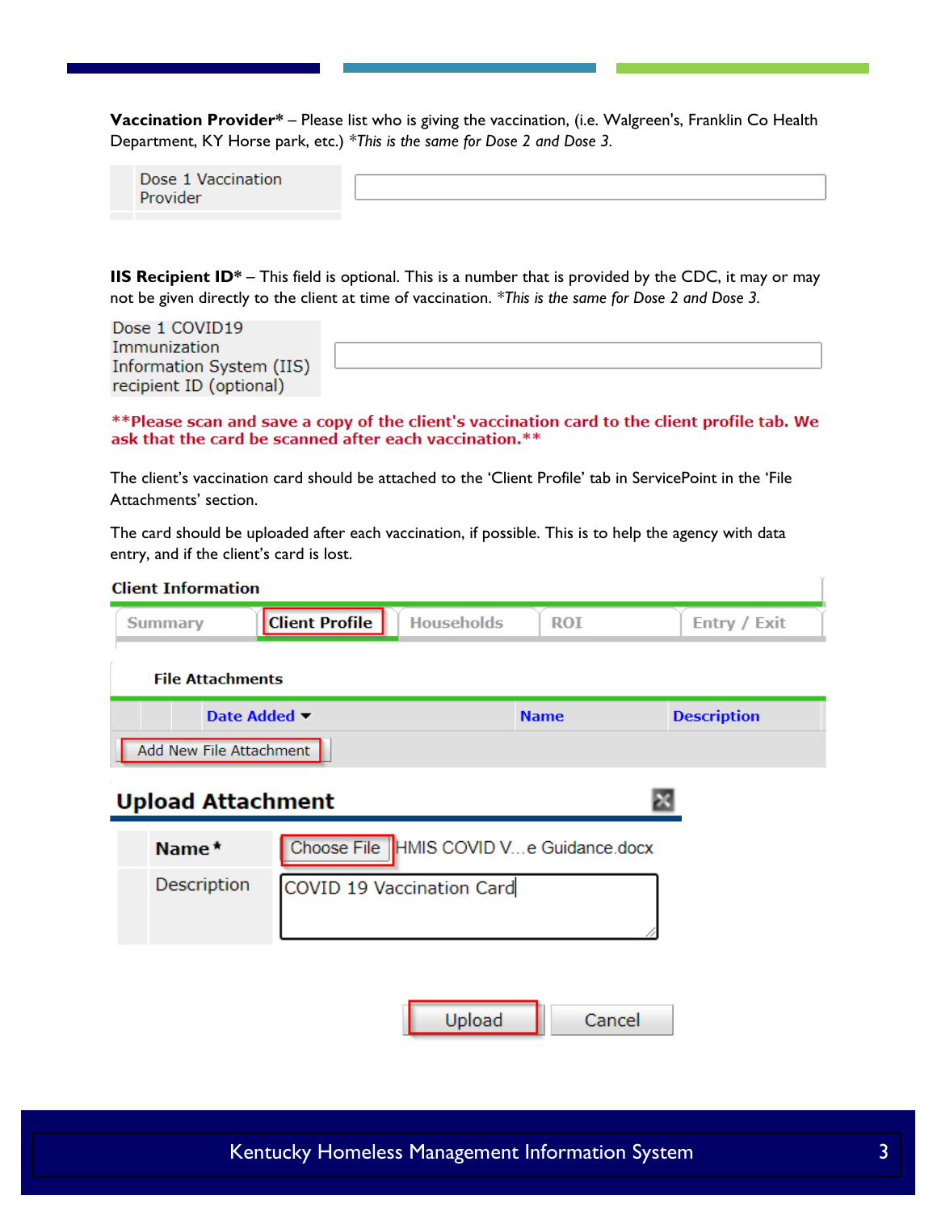**Vaccination Provider\*** – Please list who is giving the vaccination, (i.e. Walgreen's, Franklin Co Health Department, KY Horse park, etc.) *\*This is the same for Dose 2 and Dose 3.*

| Dose 1 Vaccination |  |
|--------------------|--|
| Provider           |  |

**IIS Recipient ID\*** – This field is optional. This is a number that is provided by the CDC, it may or may not be given directly to the client at time of vaccination. *\*This is the same for Dose 2 and Dose 3.*

| Dose 1 COVID19           |  |  |
|--------------------------|--|--|
| Immunization             |  |  |
| Information System (IIS) |  |  |
| recipient ID (optional)  |  |  |

\*\*Please scan and save a copy of the client's vaccination card to the client profile tab. We ask that the card be scanned after each vaccination.\*\*

The client's vaccination card should be attached to the 'Client Profile' tab in ServicePoint in the 'File Attachments' section.

The card should be uploaded after each vaccination, if possible. This is to help the agency with data entry, and if the client's card is lost.

| <b>Client Information</b>                         |                                            |             |                     |
|---------------------------------------------------|--------------------------------------------|-------------|---------------------|
| <b>Summary</b>                                    | <b>Client Profile</b><br><b>Households</b> | <b>ROI</b>  | <b>Entry / Exit</b> |
| <b>File Attachments</b>                           |                                            |             |                     |
| Date Added ▼                                      |                                            | <b>Name</b> | <b>Description</b>  |
| Add New File Attachment                           |                                            |             |                     |
| <b>Upload Attachment</b>                          |                                            |             |                     |
| Choose File  HMIS COVID Ve Guidance.docx<br>Name* |                                            |             |                     |
| Description                                       | COVID 19 Vaccination Card                  |             |                     |
|                                                   |                                            |             |                     |

Upload

Cancel

ï